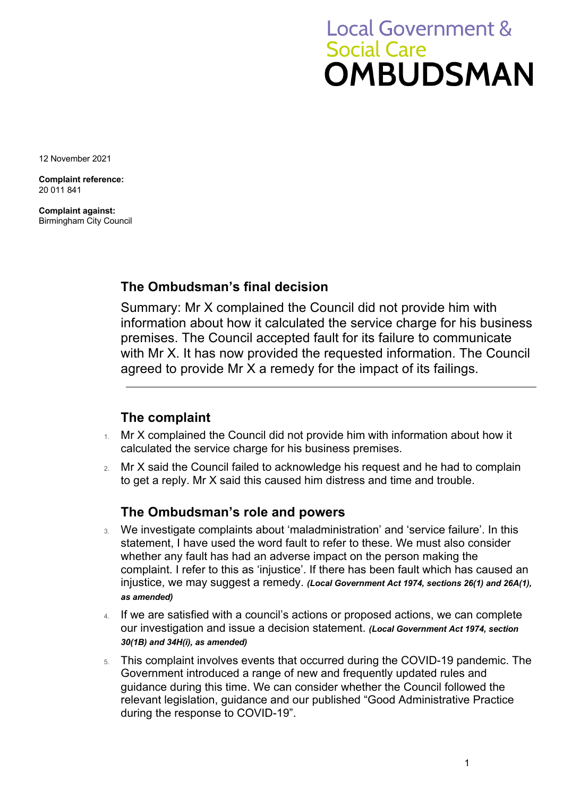# **Local Government & Social Care OMBUDSMAN**

12 November 2021

**Complaint reference:**  20 011 841

**Complaint against:** Birmingham City Council

# **The Ombudsman's final decision**

Summary: Mr X complained the Council did not provide him with information about how it calculated the service charge for his business premises. The Council accepted fault for its failure to communicate with Mr X. It has now provided the requested information. The Council agreed to provide Mr X a remedy for the impact of its failings.

# **The complaint**

- $1.$  Mr X complained the Council did not provide him with information about how it calculated the service charge for his business premises.
- 2. Mr X said the Council failed to acknowledge his request and he had to complain to get a reply. Mr X said this caused him distress and time and trouble.

## **The Ombudsman's role and powers**

- 3. We investigate complaints about 'maladministration' and 'service failure'. In this statement, I have used the word fault to refer to these. We must also consider whether any fault has had an adverse impact on the person making the complaint. I refer to this as 'injustice'. If there has been fault which has caused an injustice, we may suggest a remedy. *(Local Government Act 1974, sections 26(1) and 26A(1), as amended)*
- 4. If we are satisfied with a council's actions or proposed actions, we can complete our investigation and issue a decision statement. *(Local Government Act 1974, section 30(1B) and 34H(i), as amended)*
- 5. This complaint involves events that occurred during the COVID-19 pandemic. The Government introduced a range of new and frequently updated rules and guidance during this time. We can consider whether the Council followed the relevant legislation, guidance and our published "Good Administrative Practice during the response to COVID-19".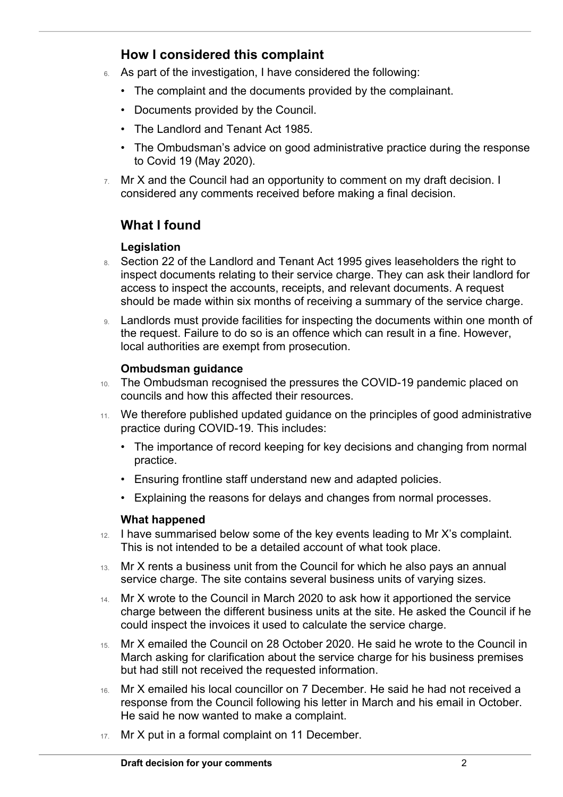# **How I considered this complaint**

- 6. As part of the investigation, I have considered the following:
	- The complaint and the documents provided by the complainant.
	- Documents provided by the Council.
	- The Landlord and Tenant Act 1985.
	- The Ombudsman's advice on good administrative practice during the response to Covid 19 (May 2020).
- 7. Mr X and the Council had an opportunity to comment on my draft decision. I considered any comments received before making a final decision.

# **What I found**

#### **Legislation**

 $\overline{a}$ 

- 8. Section 22 of the Landlord and Tenant Act 1995 gives leaseholders the right to inspect documents relating to their service charge. They can ask their landlord for access to inspect the accounts, receipts, and relevant documents. A request should be made within six months of receiving a summary of the service charge.
- 9. Landlords must provide facilities for inspecting the documents within one month of the request. Failure to do so is an offence which can result in a fine. However, local authorities are exempt from prosecution.

#### **Ombudsman guidance**

- 10. The Ombudsman recognised the pressures the COVID-19 pandemic placed on councils and how this affected their resources.
- 11. We therefore published updated guidance on the principles of good administrative practice during COVID-19. This includes:
	- The importance of record keeping for key decisions and changing from normal practice.
	- Ensuring frontline staff understand new and adapted policies.
	- Explaining the reasons for delays and changes from normal processes.

#### **What happened**

- 12. I have summarised below some of the key events leading to Mr X's complaint. This is not intended to be a detailed account of what took place.
- 13. Mr X rents a business unit from the Council for which he also pays an annual service charge. The site contains several business units of varying sizes.
- 14. Mr X wrote to the Council in March 2020 to ask how it apportioned the service charge between the different business units at the site. He asked the Council if he could inspect the invoices it used to calculate the service charge.
- 15. Mr X emailed the Council on 28 October 2020. He said he wrote to the Council in March asking for clarification about the service charge for his business premises but had still not received the requested information.
- 16. Mr X emailed his local councillor on 7 December. He said he had not received a response from the Council following his letter in March and his email in October. He said he now wanted to make a complaint.
- 17. Mr X put in a formal complaint on 11 December.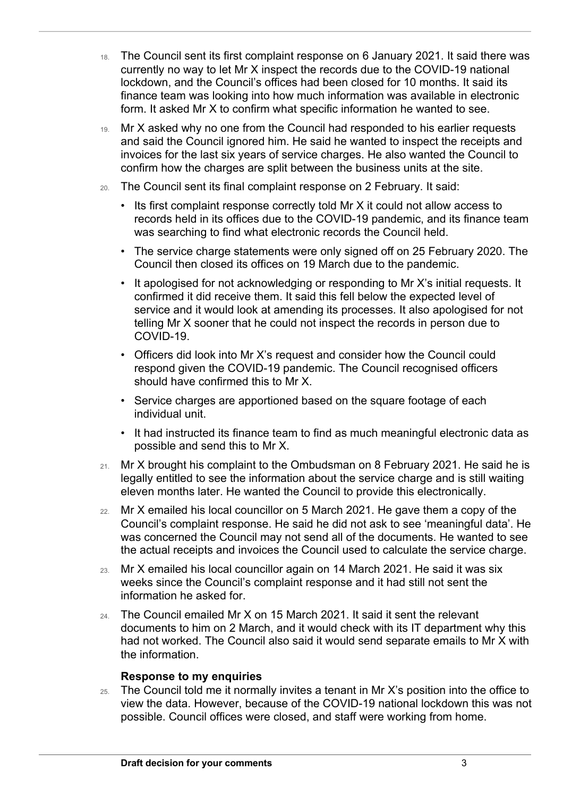- 18. The Council sent its first complaint response on 6 January 2021. It said there was currently no way to let Mr X inspect the records due to the COVID-19 national lockdown, and the Council's offices had been closed for 10 months. It said its finance team was looking into how much information was available in electronic form. It asked Mr X to confirm what specific information he wanted to see.
- 19. Mr X asked why no one from the Council had responded to his earlier requests and said the Council ignored him. He said he wanted to inspect the receipts and invoices for the last six years of service charges. He also wanted the Council to confirm how the charges are split between the business units at the site.
- 20. The Council sent its final complaint response on 2 February. It said:

 $\overline{a}$ 

- Its first complaint response correctly told Mr X it could not allow access to records held in its offices due to the COVID-19 pandemic, and its finance team was searching to find what electronic records the Council held.
- The service charge statements were only signed off on 25 February 2020. The Council then closed its offices on 19 March due to the pandemic.
- It apologised for not acknowledging or responding to Mr X's initial requests. It confirmed it did receive them. It said this fell below the expected level of service and it would look at amending its processes. It also apologised for not telling Mr X sooner that he could not inspect the records in person due to COVID-19.
- Officers did look into Mr X's request and consider how the Council could respond given the COVID-19 pandemic. The Council recognised officers should have confirmed this to Mr X.
- Service charges are apportioned based on the square footage of each individual unit.
- It had instructed its finance team to find as much meaningful electronic data as possible and send this to Mr X.
- 21. Mr X brought his complaint to the Ombudsman on 8 February 2021. He said he is legally entitled to see the information about the service charge and is still waiting eleven months later. He wanted the Council to provide this electronically.
- 22. Mr X emailed his local councillor on 5 March 2021. He gave them a copy of the Council's complaint response. He said he did not ask to see 'meaningful data'. He was concerned the Council may not send all of the documents. He wanted to see the actual receipts and invoices the Council used to calculate the service charge.
- 23. Mr X emailed his local councillor again on 14 March 2021. He said it was six weeks since the Council's complaint response and it had still not sent the information he asked for.
- 24. The Council emailed Mr X on 15 March 2021. It said it sent the relevant documents to him on 2 March, and it would check with its IT department why this had not worked. The Council also said it would send separate emails to Mr X with the information.

#### **Response to my enquiries**

25. The Council told me it normally invites a tenant in Mr X's position into the office to view the data. However, because of the COVID-19 national lockdown this was not possible. Council offices were closed, and staff were working from home.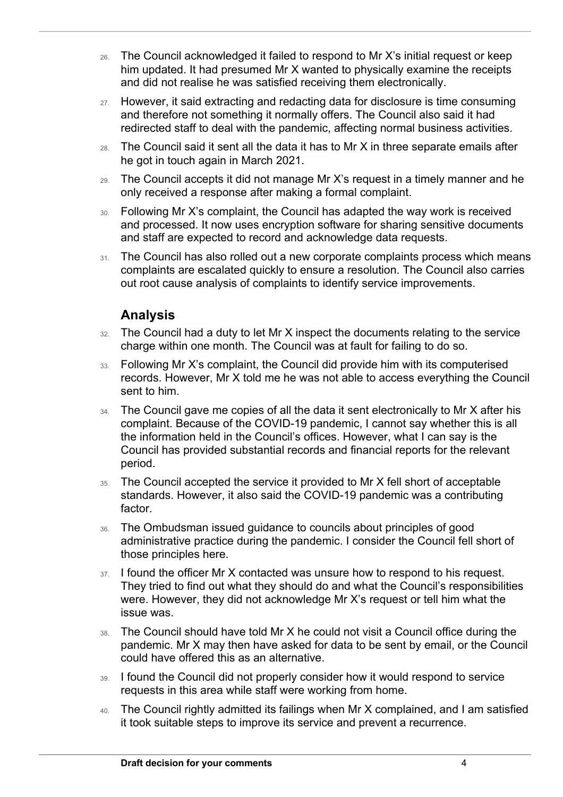- 26. The Council acknowledged it failed to respond to Mr X's initial request or keep him updated. It had presumed Mr X wanted to physically examine the receipts and did not realise he was satisfied receiving them electronically.
- 27. However, it said extracting and redacting data for disclosure is time consuming and therefore not something it normally offers. The Council also said it had redirected staff to deal with the pandemic, affecting normal business activities.
- $28.$  The Council said it sent all the data it has to Mr X in three separate emails after he got in touch again in March 2021.
- 29. The Council accepts it did not manage Mr X's request in a timely manner and he only received a response after making a formal complaint.
- 30. Following Mr X's complaint, the Council has adapted the way work is received and processed. It now uses encryption software for sharing sensitive documents and staff are expected to record and acknowledge data requests.
- 31. The Council has also rolled out a new corporate complaints process which means complaints are escalated quickly to ensure a resolution. The Council also carries out root cause analysis of complaints to identify service improvements.

# **Analysis**

 $\overline{a}$ 

- 32. The Council had a duty to let Mr X inspect the documents relating to the service charge within one month. The Council was at fault for failing to do so.
- 33. Following Mr X's complaint, the Council did provide him with its computerised records. However, Mr X told me he was not able to access everything the Council sent to him.
- 34. The Council gave me copies of all the data it sent electronically to Mr X after his complaint. Because of the COVID-19 pandemic, I cannot say whether this is all the information held in the Council's offices. However, what I can say is the Council has provided substantial records and financial reports for the relevant period.
- 35. The Council accepted the service it provided to Mr X fell short of acceptable standards. However, it also said the COVID-19 pandemic was a contributing factor.
- 36. The Ombudsman issued guidance to councils about principles of good administrative practice during the pandemic. I consider the Council fell short of those principles here.
- 37. I found the officer Mr X contacted was unsure how to respond to his request. They tried to find out what they should do and what the Council's responsibilities were. However, they did not acknowledge Mr X's request or tell him what the issue was.
- 38. The Council should have told Mr X he could not visit a Council office during the pandemic. Mr X may then have asked for data to be sent by email, or the Council could have offered this as an alternative.
- 39. I found the Council did not properly consider how it would respond to service requests in this area while staff were working from home.
- 40. The Council rightly admitted its failings when Mr X complained, and I am satisfied it took suitable steps to improve its service and prevent a recurrence.